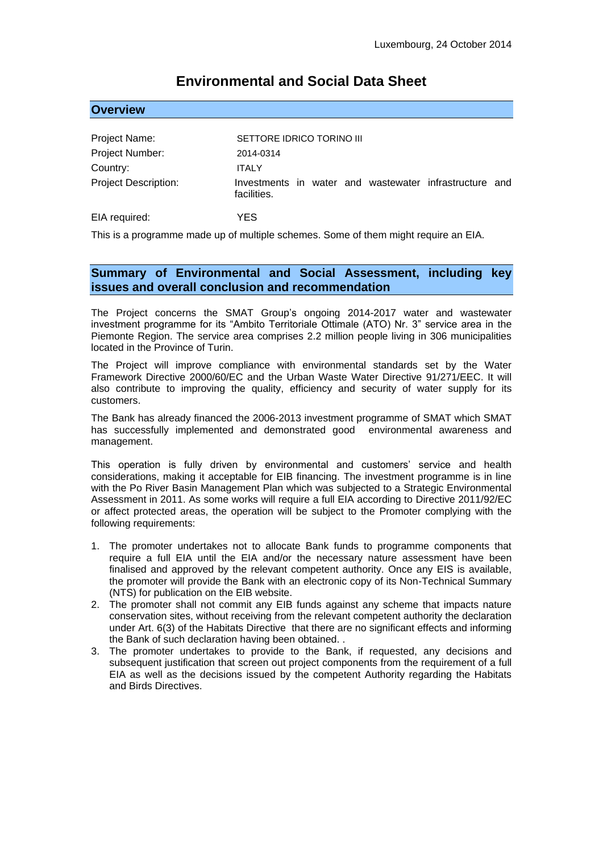# **Environmental and Social Data Sheet**

#### **Overview**

| Project Name:               | SETTORE IDRICO TORINO III                                             |
|-----------------------------|-----------------------------------------------------------------------|
| Project Number:             | 2014-0314                                                             |
| Country:                    | <b>ITALY</b>                                                          |
| <b>Project Description:</b> | Investments in water and wastewater infrastructure and<br>facilities. |
| EIA required:               | YES                                                                   |

This is a programme made up of multiple schemes. Some of them might require an EIA.

## **Summary of Environmental and Social Assessment, including key issues and overall conclusion and recommendation**

The Project concerns the SMAT Group's ongoing 2014-2017 water and wastewater investment programme for its "Ambito Territoriale Ottimale (ATO) Nr. 3" service area in the Piemonte Region. The service area comprises 2.2 million people living in 306 municipalities located in the Province of Turin.

The Project will improve compliance with environmental standards set by the Water Framework Directive 2000/60/EC and the Urban Waste Water Directive 91/271/EEC. It will also contribute to improving the quality, efficiency and security of water supply for its customers.

The Bank has already financed the 2006-2013 investment programme of SMAT which SMAT has successfully implemented and demonstrated good environmental awareness and management.

This operation is fully driven by environmental and customers' service and health considerations, making it acceptable for EIB financing. The investment programme is in line with the Po River Basin Management Plan which was subjected to a Strategic Environmental Assessment in 2011. As some works will require a full EIA according to Directive 2011/92/EC or affect protected areas, the operation will be subject to the Promoter complying with the following requirements:

- 1. The promoter undertakes not to allocate Bank funds to programme components that require a full EIA until the EIA and/or the necessary nature assessment have been finalised and approved by the relevant competent authority. Once any EIS is available, the promoter will provide the Bank with an electronic copy of its Non-Technical Summary (NTS) for publication on the EIB website.
- 2. The promoter shall not commit any EIB funds against any scheme that impacts nature conservation sites, without receiving from the relevant competent authority the declaration under Art. 6(3) of the Habitats Directive that there are no significant effects and informing the Bank of such declaration having been obtained. .
- 3. The promoter undertakes to provide to the Bank, if requested, any decisions and subsequent justification that screen out project components from the requirement of a full EIA as well as the decisions issued by the competent Authority regarding the Habitats and Birds Directives.